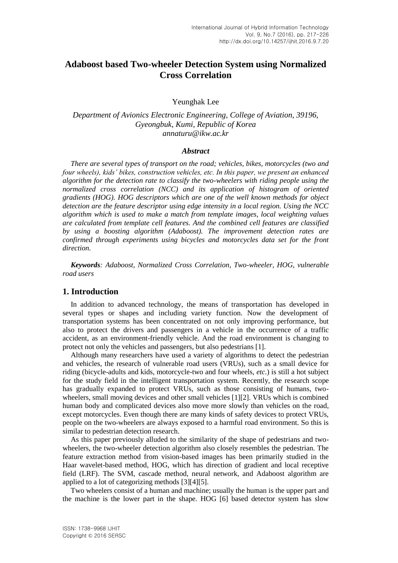# **Adaboost based Two-wheeler Detection System using Normalized Cross Correlation**

Yeunghak Lee

*Department of Avionics Electronic Engineering, College of Aviation, 39196, Gyeongbuk, Kumi, Republic of Korea annaturu@ikw.ac.kr*

#### *Abstract*

*There are several types of transport on the road; vehicles, bikes, motorcycles (two and four wheels), kids' bikes, construction vehicles, etc. In this paper, we present an enhanced algorithm for the detection rate to classify the two-wheelers with riding people using the normalized cross correlation (NCC) and its application of histogram of oriented gradients (HOG). HOG descriptors which are one of the well known methods for object detection are the feature descriptor using edge intensity in a local region. Using the NCC algorithm which is used to make a match from template images, local weighting values are calculated from template cell features. And the combined cell features are classified by using a boosting algorithm (Adaboost). The improvement detection rates are confirmed through experiments using bicycles and motorcycles data set for the front direction.*

*Keywords: Adaboost, Normalized Cross Correlation, Two-wheeler, HOG, vulnerable road users*

### **1. Introduction**

In addition to advanced technology, the means of transportation has developed in several types or shapes and including variety function. Now the development of transportation systems has been concentrated on not only improving performance, but also to protect the drivers and passengers in a vehicle in the occurrence of a traffic accident, as an environment-friendly vehicle. And the road environment is changing to protect not only the vehicles and passengers, but also pedestrians [1].

Although many researchers have used a variety of algorithms to detect the pedestrian and vehicles, the research of vulnerable road users (VRUs), such as a small device for riding (bicycle-adults and kids, motorcycle-two and four wheels, *etc*.) is still a hot subject for the study field in the intelligent transportation system. Recently, the research scope has gradually expanded to protect VRUs, such as those consisting of humans, twowheelers, small moving devices and other small vehicles [1][2]. VRUs which is combined human body and complicated devices also move more slowly than vehicles on the road, except motorcycles. Even though there are many kinds of safety devices to protect VRUs, people on the two-wheelers are always exposed to a harmful road environment. So this is similar to pedestrian detection research.

As this paper previously alluded to the similarity of the shape of pedestrians and twowheelers, the two-wheeler detection algorithm also closely resembles the pedestrian. The feature extraction method from vision-based images has been primarily studied in the Haar wavelet-based method, HOG, which has direction of gradient and local receptive field (LRF). The SVM, cascade method, neural network, and Adaboost algorithm are applied to a lot of categorizing methods [3][4][5].

Two wheelers consist of a human and machine; usually the human is the upper part and the machine is the lower part in the shape. HOG [6] based detector system has slow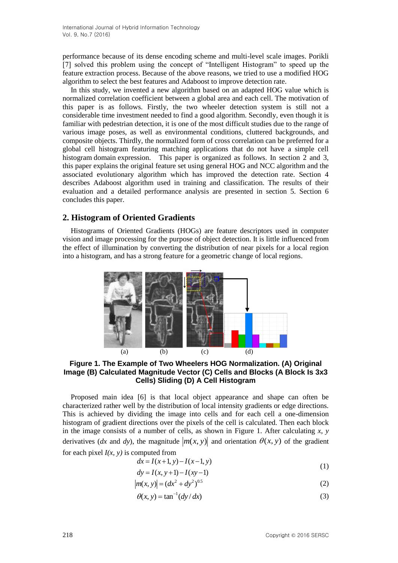performance because of its dense encoding scheme and multi-level scale images. Porikli [7] solved this problem using the concept of "Intelligent Histogram" to speed up the feature extraction process. Because of the above reasons, we tried to use a modified HOG algorithm to select the best features and Adaboost to improve detection rate.

In this study, we invented a new algorithm based on an adapted HOG value which is normalized correlation coefficient between a global area and each cell. The motivation of this paper is as follows. Firstly, the two wheeler detection system is still not a considerable time investment needed to find a good algorithm. Secondly, even though it is familiar with pedestrian detection, it is one of the most difficult studies due to the range of various image poses, as well as environmental conditions, cluttered backgrounds, and composite objects. Thirdly, the normalized form of cross correlation can be preferred for a global cell histogram featuring matching applications that do not have a simple cell histogram domain expression. This paper is organized as follows. In section 2 and 3, this paper explains the original feature set using general HOG and NCC algorithm and the associated evolutionary algorithm which has improved the detection rate. Section 4 describes Adaboost algorithm used in training and classification. The results of their evaluation and a detailed performance analysis are presented in section 5. Section 6 concludes this paper.

# **2. Histogram of Oriented Gradients**

Histograms of Oriented Gradients (HOGs) are feature descriptors used in computer vision and image processing for the purpose of object detection. It is little influenced from the effect of illumination by converting the distribution of near pixels for a local region into a histogram, and has a strong feature for a geometric change of local regions.



**Figure 1. The Example of Two Wheelers HOG Normalization. (A) Original Image (B) Calculated Magnitude Vector (C) Cells and Blocks (A Block Is 3x3 Cells) Sliding (D) A Cell Histogram**

Proposed main idea [6] is that local object appearance and shape can often be characterized rather well by the distribution of local intensity gradients or edge directions. This is achieved by dividing the image into cells and for each cell a one-dimension histogram of gradient directions over the pixels of the cell is calculated. Then each block in the image consists of a number of cells, as shown in Figure 1. After calculating  $x$ ,  $y$ derivatives (*dx* and *dy*), the magnitude  $|m(x, y)|$  and orientation  $\theta(x, y)$  of the gradient

for each pixel  $I(x, y)$  is computed from

$$
dx = I(x+1, y) - I(x-1, y)
$$
 (1)

$$
dy = I(x, y+1) - I(xy-1)
$$

$$
|m(x, y)| = (dx^2 + dy^2)^{0.5}
$$
 (2)

$$
\theta(x, y) = \tan^{-1}(dy/dx) \tag{3}
$$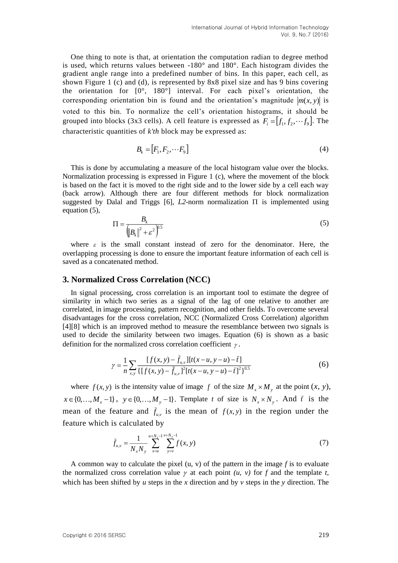One thing to note is that, at orientation the computation radian to degree method is used, which returns values between -180° and 180°. Each histogram divides the gradient angle range into a predefined number of bins. In this paper, each cell, as shown Figure 1 (c) and (d), is represented by 8x8 pixel size and has 9 bins covering the orientation for [0°, 180°] interval. For each pixel's orientation, the corresponding orientation bin is found and the orientation's magnitude  $|m(x, y)|$  is voted to this bin. To normalize the cell's orientation histograms, it should be grouped into blocks (3x3 cells). A cell feature is expressed as  $F_i = [f_1, f_2, \dots, f_9]$ . The characteristic quantities of *k'th* block may be expressed as:

$$
B_k = [F_1, F_2, \cdots F_9]
$$
\n<sup>(4)</sup>

This is done by accumulating a measure of the local histogram value over the blocks. Normalization processing is expressed in Figure 1 (c), where the movement of the block is based on the fact it is moved to the right side and to the lower side by a cell each way (back arrow). Although there are four different methods for block normalization suggested by Dalal and Triggs [6],  $L2$ -norm normalization  $\Pi$  is implemented using equation (5),

$$
\Pi = \frac{B_k}{\left( \left\| B_k \right\|^2 + \varepsilon^2 \right)^{0.5}} \tag{5}
$$

where  $\varepsilon$  is the small constant instead of zero for the denominator. Here, the overlapping processing is done to ensure the important feature information of each cell is saved as a concatenated method.

#### **3. Normalized Cross Correlation (NCC)**

In signal processing, cross correlation is an important tool to estimate the degree of similarity in which two series as a signal of the lag of one relative to another are correlated, in image processing, pattern recognition, and other fields. To overcome several disadvantages for the cross correlation, NCC (Normalized Cross Correlation) algorithm [4][8] which is an improved method to measure the resemblance between two signals is used to decide the similarity between two images. Equation (6) is shown as a basic definition for the normalized cross correlation coefficient  $\gamma$ .

$$
\gamma = \frac{1}{n} \sum_{x,y} \frac{[f(x,y) - \bar{f}_{u,y}][t(x-u, y-u) - \bar{t}]}{\{[f(x,y) - \bar{f}_{u,y}]}^2 [t(x-u, y-u) - \bar{t}]^2\}^{0.5}}
$$
(6)

where  $f(x, y)$  is the intensity value of image f of the size  $M_x \times M_y$  at the point  $(x, y)$ ,  $x \in \{0, \ldots, M_x - 1\}$ ,  $y \in \{0, \ldots, M_y - 1\}$ . Template *t* of size is  $N_x \times N_y$ . And  $\bar{t}$  is the mean of the feature and  $\bar{f}_{u,v}$  is the mean of  $f(x, y)$  in the region under the feature which is calculated by

$$
\bar{f}_{u,v} = \frac{1}{N_x N_y} \sum_{x=u}^{u+N_x-1} \sum_{y=v}^{v+N_y-1} f(x, y)
$$
\n(7)

A common way to calculate the pixel  $(u, v)$  of the pattern in the image  $f$  is to evaluate the normalized cross correlation value  $\gamma$  at each point  $(u, v)$  for  $f$  and the template  $t$ , which has been shifted by *u* steps in the *x* direction and by *v* steps in the *y* direction. The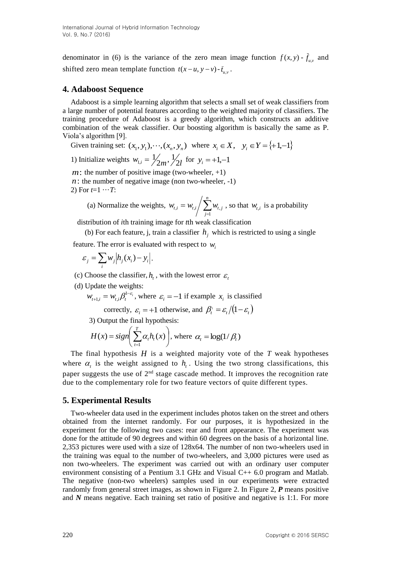denominator in (6) is the variance of the zero mean image function  $f(x, y) - \overline{f}_{ux}$  and shifted zero mean template function  $t(x - u, y - v) - \bar{t}_{u,v}$ .

## **4. Adaboost Sequence**

Adaboost is a simple learning algorithm that selects a small set of weak classifiers from a large number of potential features according to the weighted majority of classifiers. The training procedure of Adaboost is a greedy algorithm, which constructs an additive combination of the weak classifier. Our boosting algorithm is basically the same as P. Viola's algorithm [9].

Given training set:  $(x_1, y_1), \dots, (x_n, y_n)$  where  $x_i \in X$ ,  $y_i \in Y = \{+1, -1\}$ 

1) Initialize weights 
$$
w_{1,i} = \frac{1}{2m}, \frac{1}{2l}
$$
 for  $y_i = +1, -1$ 

 $m$ : the number of positive image (two-wheeler,  $+1$ )  $n$ : the number of negative image (non two-wheeler,  $-1$ )

2) For  $t=1 \cdots T$ :

(a) Normalize the weights, 
$$
w_{t,i} = w_{t,i} / \sum_{j=1}^{n} w_{t,j}
$$
, so that  $w_{t,i}$  is a probability

distribution of *i*th training image for *t*th weak classification

(b) For each feature, j, train a classifier  $h_j$  which is restricted to using a single

feature. The error is evaluated with respect to  $w_i$ 

$$
\varepsilon_j = \sum_i w_j \left| h_j(x_i) - y_i \right|.
$$

(c) Choose the classifier,  $h<sub>t</sub>$ , with the lowest error  $\varepsilon<sub>t</sub>$ 

(d) Update the weights:

 $W_{t+1,i} = W_{t,i} \beta_t^{1-\varepsilon_i}$  $u_{i,j} = w_{i,j} \beta_i^{1-\epsilon_i}$ , where  $\epsilon_i = -1$  if example  $x_i$  is classified

correctly,  $\varepsilon_i = +1$  otherwise, and  $\beta_i' = \varepsilon_i/(1 - \varepsilon_i)$ 

3) Output the final hypothesis:

$$
H(x) = sign\left(\sum_{t=1}^{T} \alpha_t h_t(x)\right), \text{ where } \alpha_t = \log(1/\beta_t)
$$

The final hypothesis *H* is a weighted majority vote of the *T* weak hypotheses where  $\alpha$ <sub>t</sub> is the weight assigned to  $h$ <sub>t</sub>. Using the two strong classifications, this paper suggests the use of  $2<sup>nd</sup>$  stage cascade method. It improves the recognition rate due to the complementary role for two feature vectors of quite different types.

#### **5. Experimental Results**

Two-wheeler data used in the experiment includes photos taken on the street and others obtained from the internet randomly. For our purposes, it is hypothesized in the experiment for the following two cases: rear and front appearance. The experiment was done for the attitude of 90 degrees and within 60 degrees on the basis of a horizontal line. 2,353 pictures were used with a size of 128x64. The number of non two-wheelers used in the training was equal to the number of two-wheelers, and 3,000 pictures were used as non two-wheelers. The experiment was carried out with an ordinary user computer environment consisting of a Pentium 3.1 GHz and Visual C++ 6.0 program and Matlab. The negative (non-two wheelers) samples used in our experiments were extracted randomly from general street images, as shown in Figure 2. In Figure 2, *P* means positive and *N* means negative. Each training set ratio of positive and negative is 1:1. For more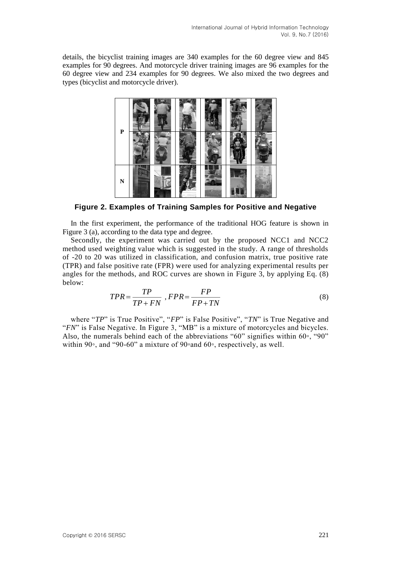details, the bicyclist training images are 340 examples for the 60 degree view and 845 examples for 90 degrees. And motorcycle driver training images are 96 examples for the 60 degree view and 234 examples for 90 degrees. We also mixed the two degrees and types (bicyclist and motorcycle driver).



**Figure 2. Examples of Training Samples for Positive and Negative**

In the first experiment, the performance of the traditional HOG feature is shown in Figure 3 (a), according to the data type and degree.

Secondly, the experiment was carried out by the proposed NCC1 and NCC2 method used weighting value which is suggested in the study. A range of thresholds of -20 to 20 was utilized in classification, and confusion matrix, true positive rate (TPR) and false positive rate (FPR) were used for analyzing experimental results per angles for the methods, and ROC curves are shown in Figure 3, by applying Eq. (8) below:

$$
TPR = \frac{TP}{TP + FN}, FPR = \frac{FP}{FP + TN}
$$
\n<sup>(8)</sup>

where "*TP*" is True Positive", "*FP*" is False Positive", "*TN*" is True Negative and "*FN*" is False Negative. In Figure 3, "MB" is a mixture of motorcycles and bicycles. Also, the numerals behind each of the abbreviations "60" signifies within  $60°$ , "90" within 90◦, and "90-60" a mixture of 90◦and 60◦, respectively, as well.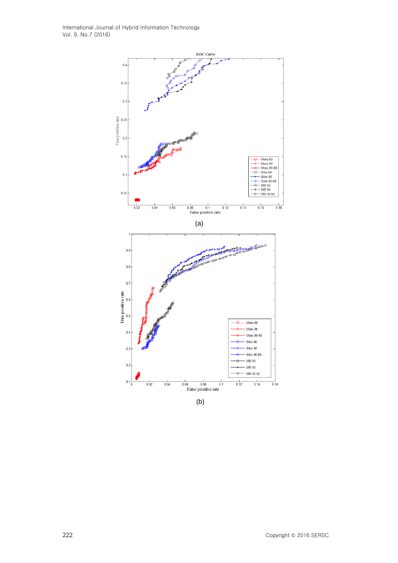International Journal of Hybrid Information Technology Vol. 9, No.7 (2016)



(b)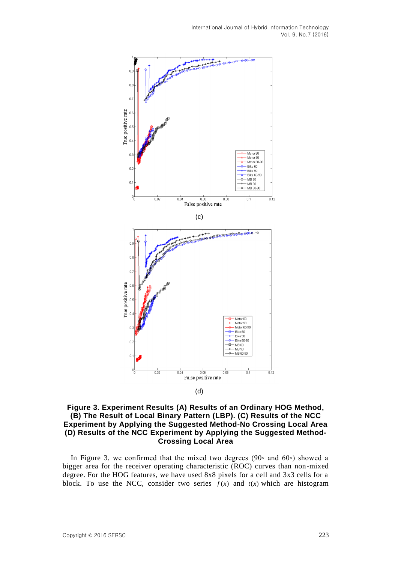

<sup>(</sup>d)

### **Figure 3. Experiment Results (A) Results of an Ordinary HOG Method, (B) The Result of Local Binary Pattern (LBP). (C) Results of the NCC Experiment by Applying the Suggested Method-No Crossing Local Area (D) Results of the NCC Experiment by Applying the Suggested Method-Crossing Local Area**

In Figure 3, we confirmed that the mixed two degrees (90∘ and 60∘) showed a bigger area for the receiver operating characteristic (ROC) curves than non-mixed degree. For the HOG features, we have used 8x8 pixels for a cell and 3x3 cells for a block. To use the NCC, consider two series  $f(x)$  and  $t(x)$  which are histogram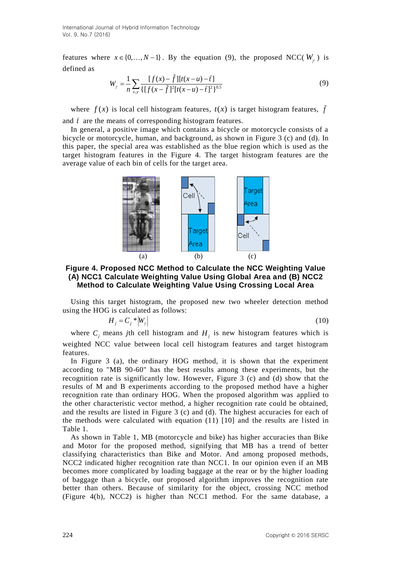International Journal of Hybrid Information Technology Vol. 9, No.7 (2016)

features where  $x \in \{0, ..., N-1\}$ . By the equation (9), the proposed NCC( $W_{\gamma}$ ) is defined as

$$
W_{\gamma} = \frac{1}{n} \sum_{x,y} \frac{[f(x) - \bar{f}][f(x-u) - \bar{t}]}{\{[f(x - \bar{f}]^{2}[t(x-u) - \bar{t}]^{2}\}^{0.5}}
$$
(9)

where  $f(x)$  is local cell histogram features,  $t(x)$  is target histogram features,  $\overline{f}$ and  $\bar{t}$  are the means of corresponding histogram features.

In general, a positive image which contains a bicycle or motorcycle consists of a bicycle or motorcycle, human, and background, as shown in Figure 3 (c) and (d). In this paper, the special area was established as the blue region which is used as the target histogram features in the Figure 4. The target histogram features are the average value of each bin of cells for the target area.



**Figure 4. Proposed NCC Method to Calculate the NCC Weighting Value (A) NCC1 Calculate Weighting Value Using Global Area and (B) NCC2 Method to Calculate Weighting Value Using Crossing Local Area**

Using this target histogram, the proposed new two wheeler detection method using the HOG is calculated as follows:

$$
H_j = C_j * |W_{\gamma}| \tag{10}
$$

where  $C_j$  means *j*th cell histogram and  $H_j$  is new histogram features which is weighted NCC value between local cell histogram features and target histogram features.

In Figure 3 (a), the ordinary HOG method, it is shown that the experiment according to "MB 90-60" has the best results among these experiments, but the recognition rate is significantly low. However, Figure 3 (c) and (d) show that the results of M and B experiments according to the proposed method have a higher recognition rate than ordinary HOG. When the proposed algorithm was applied to the other characteristic vector method, a higher recognition rate could be obtained, and the results are listed in Figure 3 (c) and (d). The highest accuracies for each of the methods were calculated with equation  $(11)$  [10] and the results are listed in Table 1.

As shown in Table 1, MB (motorcycle and bike) has higher accuracies than Bike and Motor for the proposed method, signifying that MB has a trend of better classifying characteristics than Bike and Motor. And among proposed methods, NCC2 indicated higher recognition rate than NCC1. In our opinion even if an MB becomes more complicated by loading baggage at the rear or by the higher loading of baggage than a bicycle, our proposed algorithm improves the recognition rate better than others. Because of similarity for the object, crossing NCC method (Figure 4(b), NCC2) is higher than NCC1 method. For the same database, a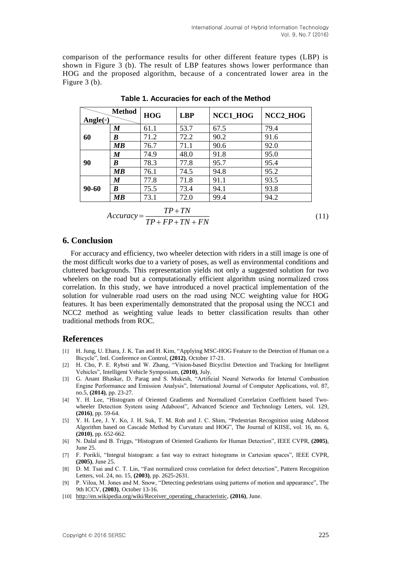comparison of the performance results for other different feature types (LBP) is shown in Figure 3 (b). The result of LBP features shows lower performance than HOG and the proposed algorithm, because of a concentrated lower area in the Figure 3 (b).

| Angle( $\circ$ ) | <b>Method</b>                  | <b>HOG</b> | <b>LBP</b> | NCC1 HOG | NCC2_HOG |
|------------------|--------------------------------|------------|------------|----------|----------|
| 60               | M                              | 61.1       | 53.7       | 67.5     | 79.4     |
|                  | B                              | 71.2       | 72.2       | 90.2     | 91.6     |
|                  | MВ                             | 76.7       | 71.1       | 90.6     | 92.0     |
| 90               | M                              | 74.9       | 48.0       | 91.8     | 95.0     |
|                  | B                              | 78.3       | 77.8       | 95.7     | 95.4     |
|                  | MВ                             | 76.1       | 74.5       | 94.8     | 95.2     |
| 90-60            | M                              | 77.8       | 71.8       | 91.1     | 93.5     |
|                  | B                              | 75.5       | 73.4       | 94.1     | 93.8     |
|                  | $\boldsymbol{M}\boldsymbol{B}$ | 73.1       | 72.0       | 99.4     | 94.2     |
| $TP+TN$          |                                |            |            |          |          |

**Table 1. Accuracies for each of the Method**

$$
Accuracy = \frac{TP + TN}{TP + FP + TN + FN}
$$
\n<sup>(11)</sup>

### **6. Conclusion**

For accuracy and efficiency, two wheeler detection with riders in a still image is one of the most difficult works due to a variety of poses, as well as environmental conditions and cluttered backgrounds. This representation yields not only a suggested solution for two wheelers on the road but a computationally efficient algorithm using normalized cross correlation. In this study, we have introduced a novel practical implementation of the solution for vulnerable road users on the road using NCC weighting value for HOG features. It has been experimentally demonstrated that the proposal using the NCC1 and NCC2 method as weighting value leads to better classification results than other traditional methods from ROC.

#### **References**

- [1] H. Jung, U. Ehara, J. K. Tan and H. Kim, "Applying MSC-HOG Feature to the Detection of Human on a Bicycle", Intl. Conference on Control, **(2012)**, October 17-21.
- [2] H. Cho, P. E. Rybsti and W. Zhang, "Vision-based Bicyclist Detection and Tracking for Intelligent Vehicles", Intelligent Vehicle Symposium, **(2010)**, July.
- [3] G. Anant Bhaskar, D. Parag and S. Mukesh, "Artificial Neural Networks for Internal Combustion Engine Performance and Emission Analysis", International Journal of Computer Applications, vol. 87, no.5, **(2014)**, pp. 23-27.
- [4] Y. H. Lee, "Histogram of Oriented Gradients and Normalized Correlation Coefficient based Twowheeler Detection System using Adaboost", Advanced Science and Technology Letters, vol. 129, **(2016)**, pp. 59-64.
- [5] Y. H. Lee, J. Y. Ko, J. H. Suk, T. M. Roh and J. C. Shim, "Pedestrian Recognition using Adaboost Algorithm based on Cascade Method by Curvature and HOG", The Journal of KIISE, vol. 16, no. 6, **(2010)**, pp. 652-662.
- [6] N. Dalal and B. Triggs, "Histogram of Oriented Gradients for Human Detection", IEEE CVPR, **(2005)**, June 25.
- [7] F. Porikli, "Integral histogram: a fast way to extract histograms in Cartesian spaces", IEEE CVPR, **(2005)**, June 25.
- [8] D. M. Tsai and C. T. Lin, "Fast normalized cross correlation for defect detection", Pattern Recognition Letters, vol. 24, no. 15, **(2003)**, pp. 2625-2631.
- [9] P. Viloa, M. Jones and M. Snow, "Detecting pedestrians using patterns of motion and appearance", The 9th ICCV, **(2003)**, October 13-16.
- [10] [http://en.wikipedia.org/wiki/Receiver\\_operating\\_characteristic,](http://en.wikipedia.org/wiki/Receiver_operating_characteristic) **(2016)**, June.